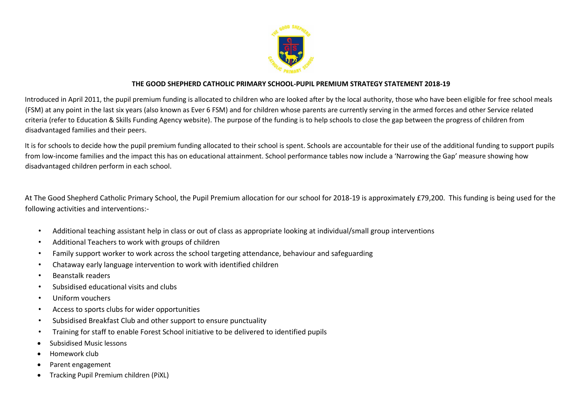

## **THE GOOD SHEPHERD CATHOLIC PRIMARY SCHOOL-PUPIL PREMIUM STRATEGY STATEMENT 2018-19**

Introduced in April 2011, the pupil premium funding is allocated to children who are looked after by the local authority, those who have been eligible for free school meals (FSM) at any point in the last six years (also known as Ever 6 FSM) and for children whose parents are currently serving in the armed forces and other Service related criteria (refer to Education & Skills Funding Agency website). The purpose of the funding is to help schools to close the gap between the progress of children from disadvantaged families and their peers.

It is for schools to decide how the pupil premium funding allocated to their school is spent. Schools are accountable for their use of the additional funding to support pupils from low-income families and the impact this has on educational attainment. School performance tables now include a 'Narrowing the Gap' measure showing how disadvantaged children perform in each school.

At The Good Shepherd Catholic Primary School, the Pupil Premium allocation for our school for 2018-19 is approximately £79,200. This funding is being used for the following activities and interventions:-

- Additional teaching assistant help in class or out of class as appropriate looking at individual/small group interventions
- Additional Teachers to work with groups of children
- Family support worker to work across the school targeting attendance, behaviour and safeguarding
- Chataway early language intervention to work with identified children
- Beanstalk readers
- Subsidised educational visits and clubs
- Uniform vouchers
- Access to sports clubs for wider opportunities
- Subsidised Breakfast Club and other support to ensure punctuality
- Training for staff to enable Forest School initiative to be delivered to identified pupils
- Subsidised Music lessons
- Homework club
- Parent engagement
- Tracking Pupil Premium children (PiXL)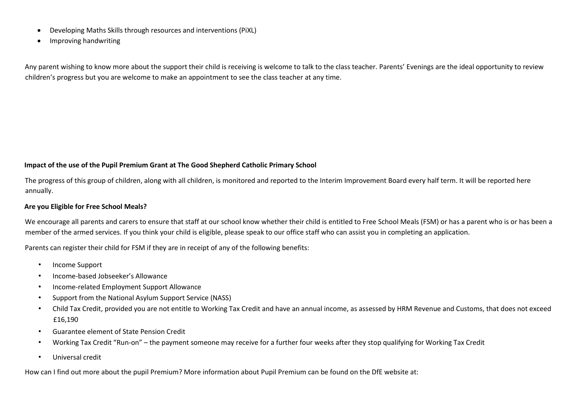- Developing Maths Skills through resources and interventions (PiXL)
- Improving handwriting

Any parent wishing to know more about the support their child is receiving is welcome to talk to the class teacher. Parents' Evenings are the ideal opportunity to review children's progress but you are welcome to make an appointment to see the class teacher at any time.

### **Impact of the use of the Pupil Premium Grant at The Good Shepherd Catholic Primary School**

The progress of this group of children, along with all children, is monitored and reported to the Interim Improvement Board every half term. It will be reported here annually.

#### **Are you Eligible for Free School Meals?**

We encourage all parents and carers to ensure that staff at our school know whether their child is entitled to Free School Meals (FSM) or has a parent who is or has been a member of the armed services. If you think your child is eligible, please speak to our office staff who can assist you in completing an application.

Parents can register their child for FSM if they are in receipt of any of the following benefits:

- Income Support
- Income-based Jobseeker's Allowance
- Income-related Employment Support Allowance
- Support from the National Asylum Support Service (NASS)
- Child Tax Credit, provided you are not entitle to Working Tax Credit and have an annual income, as assessed by HRM Revenue and Customs, that does not exceed £16,190
- Guarantee element of State Pension Credit
- Working Tax Credit "Run-on" the payment someone may receive for a further four weeks after they stop qualifying for Working Tax Credit
- Universal credit

How can I find out more about the pupil Premium? More information about Pupil Premium can be found on the DfE website at: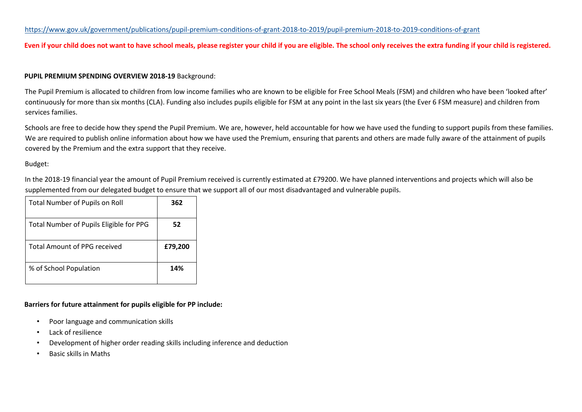## <https://www.gov.uk/government/publications/pupil-premium-conditions-of-grant-2018-to-2019/pupil-premium-2018-to-2019-conditions-of-grant>

### **Even if your child does not want to have school meals, please register your child if you are eligible. The school only receives the extra funding if your child is registered.**

#### **PUPIL PREMIUM SPENDING OVERVIEW 2018-19** Background:

The Pupil Premium is allocated to children from low income families who are known to be eligible for Free School Meals (FSM) and children who have been 'looked after' continuously for more than six months (CLA). Funding also includes pupils eligible for FSM at any point in the last six years (the Ever 6 FSM measure) and children from services families.

Schools are free to decide how they spend the Pupil Premium. We are, however, held accountable for how we have used the funding to support pupils from these families. We are required to publish online information about how we have used the Premium, ensuring that parents and others are made fully aware of the attainment of pupils covered by the Premium and the extra support that they receive.

#### Budget:

In the 2018-19 financial year the amount of Pupil Premium received is currently estimated at £79200. We have planned interventions and projects which will also be supplemented from our delegated budget to ensure that we support all of our most disadvantaged and vulnerable pupils.

| <b>Total Number of Pupils on Roll</b>   | 362     |
|-----------------------------------------|---------|
| Total Number of Pupils Eligible for PPG | 52      |
| <b>Total Amount of PPG received</b>     | £79,200 |
| % of School Population                  | 14%     |

#### **Barriers for future attainment for pupils eligible for PP include:**

- Poor language and communication skills
- Lack of resilience
- Development of higher order reading skills including inference and deduction
- Basic skills in Maths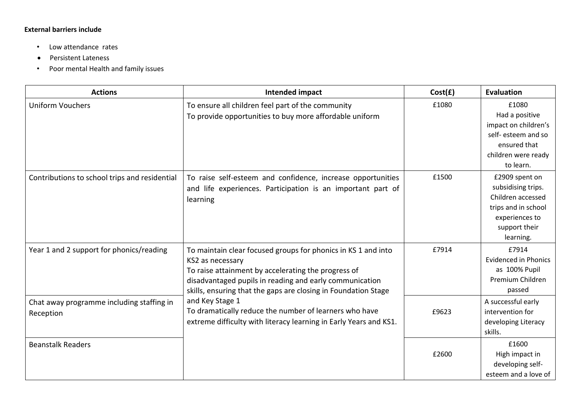# **External barriers include**

- Low attendance rates
- Persistent Lateness
- Poor mental Health and family issues

| <b>Actions</b>                                         | Intended impact                                                                                                                                                                                                                                                                                                                                                                                                         | Cost(f) | Evaluation                                                                                                                       |
|--------------------------------------------------------|-------------------------------------------------------------------------------------------------------------------------------------------------------------------------------------------------------------------------------------------------------------------------------------------------------------------------------------------------------------------------------------------------------------------------|---------|----------------------------------------------------------------------------------------------------------------------------------|
| <b>Uniform Vouchers</b>                                | To ensure all children feel part of the community<br>To provide opportunities to buy more affordable uniform                                                                                                                                                                                                                                                                                                            | £1080   | £1080<br>Had a positive<br>impact on children's<br>self- esteem and so<br>ensured that<br>children were ready<br>to learn.       |
| Contributions to school trips and residential          | To raise self-esteem and confidence, increase opportunities<br>and life experiences. Participation is an important part of<br>learning                                                                                                                                                                                                                                                                                  | £1500   | £2909 spent on<br>subsidising trips.<br>Children accessed<br>trips and in school<br>experiences to<br>support their<br>learning. |
| Year 1 and 2 support for phonics/reading               | To maintain clear focused groups for phonics in KS 1 and into<br>KS2 as necessary<br>To raise attainment by accelerating the progress of<br>disadvantaged pupils in reading and early communication<br>skills, ensuring that the gaps are closing in Foundation Stage<br>and Key Stage 1<br>To dramatically reduce the number of learners who have<br>extreme difficulty with literacy learning in Early Years and KS1. | £7914   | £7914<br><b>Evidenced in Phonics</b><br>as 100% Pupil<br>Premium Children<br>passed                                              |
| Chat away programme including staffing in<br>Reception |                                                                                                                                                                                                                                                                                                                                                                                                                         | £9623   | A successful early<br>intervention for<br>developing Literacy<br>skills.                                                         |
| <b>Beanstalk Readers</b>                               |                                                                                                                                                                                                                                                                                                                                                                                                                         | £2600   | £1600<br>High impact in<br>developing self-<br>esteem and a love of                                                              |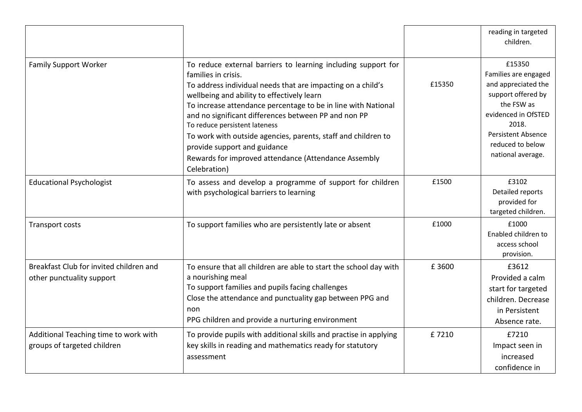|                                                                      |                                                                                                                                                                                                                                                                                                                                                                                                                                                                                                                                      |        | reading in targeted<br>children.                                                                                                                                                                |
|----------------------------------------------------------------------|--------------------------------------------------------------------------------------------------------------------------------------------------------------------------------------------------------------------------------------------------------------------------------------------------------------------------------------------------------------------------------------------------------------------------------------------------------------------------------------------------------------------------------------|--------|-------------------------------------------------------------------------------------------------------------------------------------------------------------------------------------------------|
| <b>Family Support Worker</b>                                         | To reduce external barriers to learning including support for<br>families in crisis.<br>To address individual needs that are impacting on a child's<br>wellbeing and ability to effectively learn<br>To increase attendance percentage to be in line with National<br>and no significant differences between PP and non PP<br>To reduce persistent lateness<br>To work with outside agencies, parents, staff and children to<br>provide support and guidance<br>Rewards for improved attendance (Attendance Assembly<br>Celebration) | £15350 | £15350<br>Families are engaged<br>and appreciated the<br>support offered by<br>the FSW as<br>evidenced in OfSTED<br>2018.<br><b>Persistent Absence</b><br>reduced to below<br>national average. |
| <b>Educational Psychologist</b>                                      | To assess and develop a programme of support for children<br>with psychological barriers to learning                                                                                                                                                                                                                                                                                                                                                                                                                                 | £1500  | £3102<br>Detailed reports<br>provided for<br>targeted children.                                                                                                                                 |
| Transport costs                                                      | To support families who are persistently late or absent                                                                                                                                                                                                                                                                                                                                                                                                                                                                              | £1000  | £1000<br>Enabled children to<br>access school<br>provision.                                                                                                                                     |
| Breakfast Club for invited children and<br>other punctuality support | To ensure that all children are able to start the school day with<br>a nourishing meal<br>To support families and pupils facing challenges<br>Close the attendance and punctuality gap between PPG and<br>non<br>PPG children and provide a nurturing environment                                                                                                                                                                                                                                                                    | £3600  | £3612<br>Provided a calm<br>start for targeted<br>children. Decrease<br>in Persistent<br>Absence rate.                                                                                          |
| Additional Teaching time to work with<br>groups of targeted children | To provide pupils with additional skills and practise in applying<br>key skills in reading and mathematics ready for statutory<br>assessment                                                                                                                                                                                                                                                                                                                                                                                         | £7210  | £7210<br>Impact seen in<br>increased<br>confidence in                                                                                                                                           |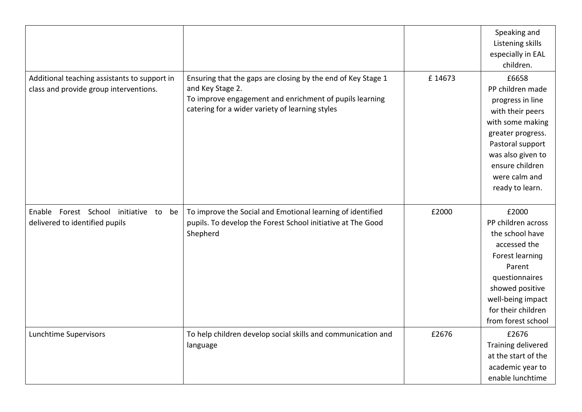|                                                                                        |                                                                                                                                                                                                |        | Speaking and<br>Listening skills<br>especially in EAL<br>children.                                                                                                                                         |
|----------------------------------------------------------------------------------------|------------------------------------------------------------------------------------------------------------------------------------------------------------------------------------------------|--------|------------------------------------------------------------------------------------------------------------------------------------------------------------------------------------------------------------|
| Additional teaching assistants to support in<br>class and provide group interventions. | Ensuring that the gaps are closing by the end of Key Stage 1<br>and Key Stage 2.<br>To improve engagement and enrichment of pupils learning<br>catering for a wider variety of learning styles | £14673 | £6658<br>PP children made<br>progress in line<br>with their peers<br>with some making<br>greater progress.<br>Pastoral support<br>was also given to<br>ensure children<br>were calm and<br>ready to learn. |
| Enable Forest School initiative to be<br>delivered to identified pupils                | To improve the Social and Emotional learning of identified<br>pupils. To develop the Forest School initiative at The Good<br>Shepherd                                                          | £2000  | £2000<br>PP children across<br>the school have<br>accessed the<br>Forest learning<br>Parent<br>questionnaires<br>showed positive<br>well-being impact<br>for their children<br>from forest school          |
| Lunchtime Supervisors                                                                  | To help children develop social skills and communication and<br>language                                                                                                                       | £2676  | £2676<br>Training delivered<br>at the start of the<br>academic year to<br>enable lunchtime                                                                                                                 |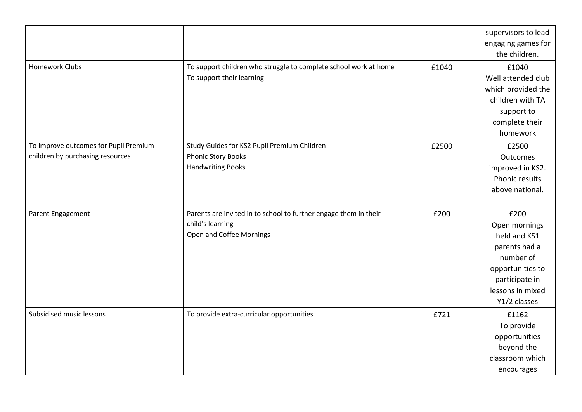|                                                                           |                                                                                                                  |       | supervisors to lead<br>engaging games for<br>the children.                                                                                    |
|---------------------------------------------------------------------------|------------------------------------------------------------------------------------------------------------------|-------|-----------------------------------------------------------------------------------------------------------------------------------------------|
| <b>Homework Clubs</b>                                                     | To support children who struggle to complete school work at home<br>To support their learning                    | £1040 | £1040<br>Well attended club<br>which provided the<br>children with TA<br>support to<br>complete their<br>homework                             |
| To improve outcomes for Pupil Premium<br>children by purchasing resources | Study Guides for KS2 Pupil Premium Children<br>Phonic Story Books<br><b>Handwriting Books</b>                    | £2500 | £2500<br>Outcomes<br>improved in KS2.<br>Phonic results<br>above national.                                                                    |
| Parent Engagement                                                         | Parents are invited in to school to further engage them in their<br>child's learning<br>Open and Coffee Mornings | £200  | £200<br>Open mornings<br>held and KS1<br>parents had a<br>number of<br>opportunities to<br>participate in<br>lessons in mixed<br>Y1/2 classes |
| Subsidised music lessons                                                  | To provide extra-curricular opportunities                                                                        | £721  | £1162<br>To provide<br>opportunities<br>beyond the<br>classroom which<br>encourages                                                           |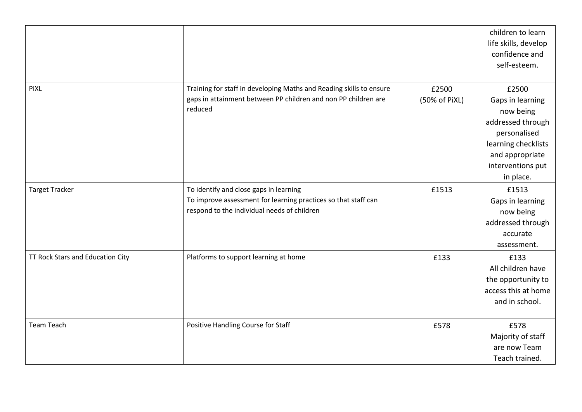|                                  |                                                                                                                                                         |                        | children to learn<br>life skills, develop<br>confidence and<br>self-esteem.                                                                             |
|----------------------------------|---------------------------------------------------------------------------------------------------------------------------------------------------------|------------------------|---------------------------------------------------------------------------------------------------------------------------------------------------------|
| PiXL                             | Training for staff in developing Maths and Reading skills to ensure<br>gaps in attainment between PP children and non PP children are<br>reduced        | £2500<br>(50% of PiXL) | £2500<br>Gaps in learning<br>now being<br>addressed through<br>personalised<br>learning checklists<br>and appropriate<br>interventions put<br>in place. |
| <b>Target Tracker</b>            | To identify and close gaps in learning<br>To improve assessment for learning practices so that staff can<br>respond to the individual needs of children | £1513                  | £1513<br>Gaps in learning<br>now being<br>addressed through<br>accurate<br>assessment.                                                                  |
| TT Rock Stars and Education City | Platforms to support learning at home                                                                                                                   | £133                   | £133<br>All children have<br>the opportunity to<br>access this at home<br>and in school.                                                                |
| <b>Team Teach</b>                | Positive Handling Course for Staff                                                                                                                      | £578                   | £578<br>Majority of staff<br>are now Team<br>Teach trained.                                                                                             |